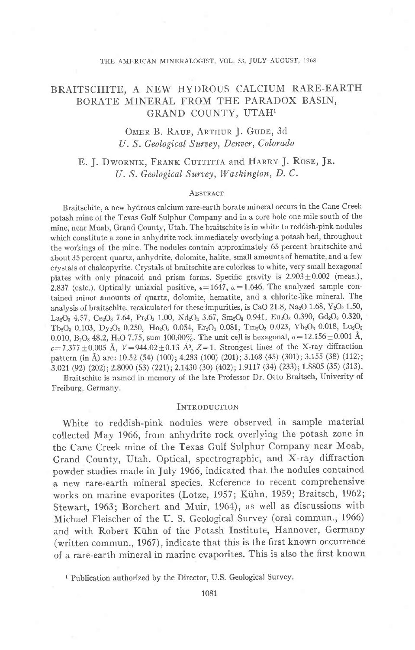# BRAITSCHITE, A NEW HYDROUS CALCIUM RARE-EARTH BORATE MINERAL FROM THE PARADOX BASIN, GRAND COUNTY, UTAH1

OMER B. RAUP, ARTHUR J. GUDE, 3d U. S. Geological Survey, Denver, Colorado

E. J. DWORNIK, FRANK CUTTITTA and HARRY J. ROSE, JR. U. S. Geological Survey, Washington, D. C.

#### **ABSTRACT**

Braitschite, a new hydrous calcium rare-earth borate mineral occurs in the Cane Creek potash mine of the Texas Gulf Sulphur Company and in a core hole one mile south of the mine, near Moab, Grand County, Utah. The braitschite is in white to reddish-pink nodules which constitute a zone in anhydrite rock immediately overlying a potash bed, throughout the workings of the mine. The nodules contain approximately 65 percent brartschite and about 35 percent quartz, anhydrite, dolomite, halite, small amounts of hematite, and a few crystals of chalcopyrite. Crystals of braitschite are colorless to white, very small hexagonal plates with only pinacoid and prism forms. Specific gravity is  $2.903 \pm 0.002$  (meas.), 2.837 (calc.). Optically uniaxial positive,  $\epsilon = 1647$ ,  $\omega = 1.646$ . The analyzed sample contained minor amounts of quartz, dolomite, hematite, and a chlorite-like mineral. The analysis of braitschite, recalculated for these impurities, is CaO 21.8, Na<sub>2</sub>O 1.68, Y<sub>2</sub>O<sub>3</sub> 1.50, La<sub>2</sub>O<sub>3</sub> 4.57, Ce<sub>2</sub>O<sub>3</sub> 7.64, Pr<sub>2</sub>O<sub>3</sub> 1.00, Nd<sub>2</sub>O<sub>3</sub> 3.67, Sm<sub>2</sub>O<sub>3</sub> 0.941, Eu<sub>2</sub>O<sub>3</sub> 0.390, Gd<sub>2</sub>O<sub>3</sub> 0.320, Tb<sub>2</sub>O<sub>3</sub> 0.103, Dy<sub>2</sub>O<sub>3</sub> 0.250, Ho<sub>2</sub>O<sub>3</sub> 0.054, Er<sub>2</sub>O<sub>3</sub> 0.081, Tm<sub>2</sub>O<sub>3</sub> 0.023, Yb<sub>2</sub>O<sub>3</sub> 0.018, Lu<sub>2</sub>O<sub>3</sub> 0.010, B<sub>2</sub>O<sub>3</sub> 48.2, H<sub>2</sub>O 7.75, sum 100.00%. The unit cell is hexagonal,  $a=12.156\pm0.001$  Å,  $c=7.377\pm0.005$  Å,  $V=944.02\pm0.13$  Å<sup>3</sup>,  $Z=1$ . Strongest lines of the X-ray diffraction pattern (in Å) are: 10.52 (54) (100); 4.283 (100) (201); 3.168 (45) (301); 3.155 (38) (112);  $3.021$  (92) (202); 2.8090 (53) (221); 2.1430 (30) (402); 1.9117 (34) (233); 1.8805 (35) (313).

Braitschite is named in memorv of the late Professor Dr. Otto Braitsch, Univerity of Freiburg, Germany.

### INTRODUCTION

White to reddish-pink nodules were observed in sample material collected May 1966, from anhydrite rock overlying the potash zone in the Cane Creek mine of the Texas Gulf Sulphur Company near Moab, Grand County, Utah. Optical, spectrographic, and X-ray diffraction powder studies made in July 1966, indicated that the nodules contained a new rare-earth mineral species. Reference to recent comprehensive works on marine evaporites (Lotze, 1957; Kiihn, 1959; Braitsch, 1962; Stewart, 1963; Borchert and Muir, 1964), as well as discussions with Michael Fleischer of the U. S. Geological Survey (oral commun., 1966) and with Robert Kiihn of the Potash Institute, Hannover, Germany (written commun., 1967), indicate that this is the first known occurrence of a rare-earth mineral in marine evaporites. This is also the first known

<sup>&</sup>lt;sup>1</sup> Publication authorized by the Director, U.S. Geological Survey.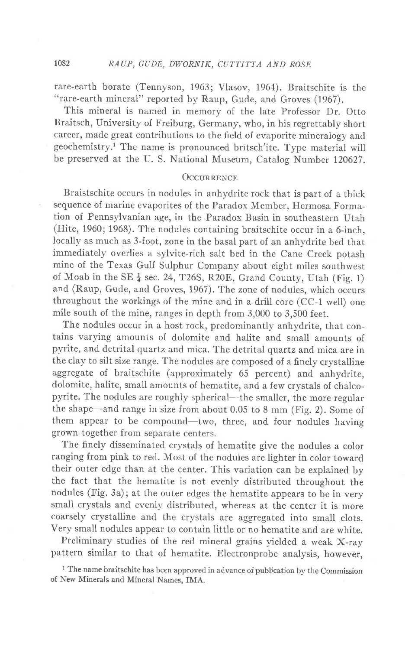rare-earth borate (Tennyson, 1963; Vlasov, 1961). Braitschite is the "rare-earth mineral" reported by Raup, Gude, and Groves (1967).

This mineral is named in memory of the late Professor Dr. Otto Braitsch, University of Freiburg, Germany, who, in his regrettably short career, made great contributions to the field of evaporite mineralogy and geochemistry.<sup>1</sup> The name is pronounced britsch'ite. Type material will be preserved at the U. S. National Museum, Catalog Number 120627.

## OCCURRENCE

Braistschite occurs in nodules in anhydrite rock that is part of a thick sequence of marine evaporites of the Paradox Member, Hermosa Formation of Pennsylvanian age, in the Paradox Basin in southeastern Utah (Hite, 1960; 1968). The nodules containing braitschite occur in a 6-inch, locally as much as 3-foot, zone in the basal part of an anhydrite bed that immediately overlies a sylvite-rich salt bed in the Cane Creek potash mine of the Texas Gulf Sulphur Company about eight miles southwest of Moab in the SE  $\frac{1}{4}$  sec. 24, T26S, R20E, Grand County, Utah (Fig. 1) and (Raup, Gude, and Groves, 1967). The zone of nodules, which occurs throughout the workings of the mine and in a drill core (CC-1 well) one mile south of the mine, ranges in depth from 3,000 to 3,500 feet.

The nodules occur in a host rock, predominantly anhydrite, that contains varying amounts of dolomite and halite and small amounts of pyrite, and detrital quartz and mica. The detrital quartz and mica are in the clay to silt size range. The nodules are composed of a finely crystalline aggregate of braitschite (approximately 65 percent) and anhydrite, dolomite, halite, small amounts of hematite, and a few crystals of chalcopyrite. The nodules are roughly spherical-the smaller, the more regular the shape-and range in size from about 0.05 to 8 mm (Fig. 2). Some of them appear to be compound-two, three, and four nodules having grown together from separate centers.

The finely disseminated crystals of hematite give the nodules a color ranging from pink to red. Most of the nodules are lighter in color toward their outer edge than at the center. This variation can be explained by the fact that the hematite is not evenly distributed throughout the nodules (Fig. 3a); at the outer edges the hematite appears to be in very small crystals and evenly distributed, whereas at the center it is more coarsely crystalline and the crystals are aggregated into small clots. Very small nodules appear to contain little or no hematite and are white.

Preliminary studies of the red mineral grains yielded a weak X-ray pattern similar to that of hematite. Electronprobe analysis, however,

<sup>1</sup> The name braitschite has been approved in advance of publication by the Commission of New Minerals and Mineral Names, IMA.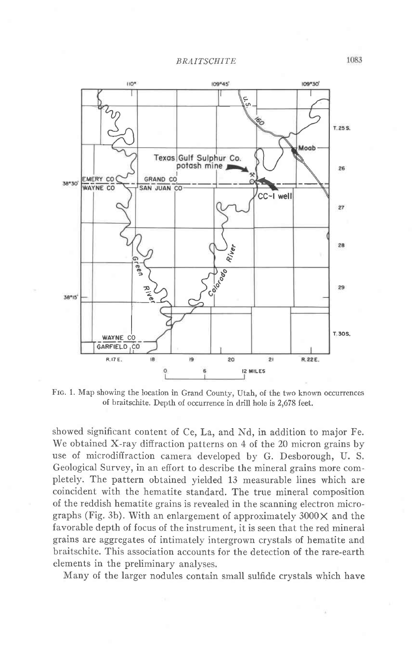

Fro. 1. Map showing the location in Grand County, Utah, of the two known occurrences of braitschite. Depth of occurrence in drill hole is 2.678 feet.

showed significant content of Ce, La, and Nd, in addition to major Fe. We obtained X-ray diffraction patterns on 4 of the 20 micron grains by use of microdiffraction camera developed by G. Desborough, U. S. Geological Survey, in an effort to describe the mineral grains more completely. The pattern obtained yielded 13 measurable lines which are coincident with the hematite standard. The true mineral composition of the reddish hematite grains is revealed in the scanning electron micrographs (Fig. 3b). With an enlargement of approximately  $3000 \times$  and the favorable depth of focus of the instrument, it is seen that the red mineral grains are aggregates of intimately intergrown crystals of hematite and braitschite. This association accounts for the detection of the rare-earth elements in the preliminary analyses.

Many of the larger nodules contain small sulfide crystals which have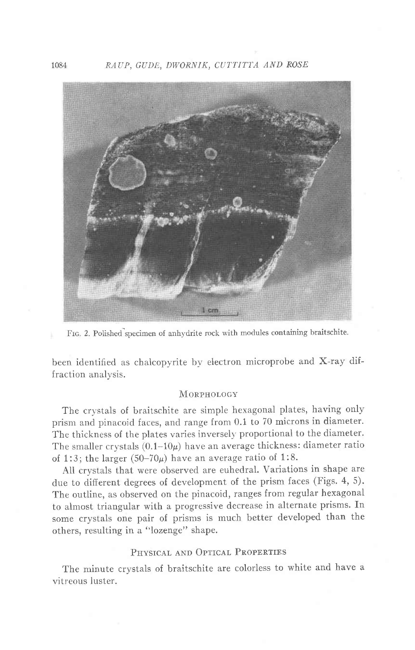

FIG. 2. Polished specimen of anhydrite rock with modules containing braitschite.

been identified as chalcopyrite by electron microprobe and X-ray diffraction analysis.

## **MORPHOLOGY**

The crystals of braitschite are simple hexagonal plates, having only prism and pinacoid faces, and range from 0.1 to 70 microns in diameter. The thickness of the plates varies inversely proportional to the diameter. The smaller crystals  $(0.1-10\mu)$  have an average thickness: diameter ratio of 1:3; the larger  $(50-70\mu)$  have an average ratio of 1:8.

All crystals that were observed are euhedral. Variations in shape are due to different degrees of development of the prism faces (Figs. 4, 5). The outline, as observed on the pinacoid, ranges from regular hexagonal to almost triangular with a progressive decrease in alternate prisms. In some crystals one pair of prisms is much better developed than the others, resulting in a "lozenge" shape.

## PHYSICAL AND OPTICAL PROPERTIES

The minute crystals of braitschite are colorless to white and have a vitreous luster.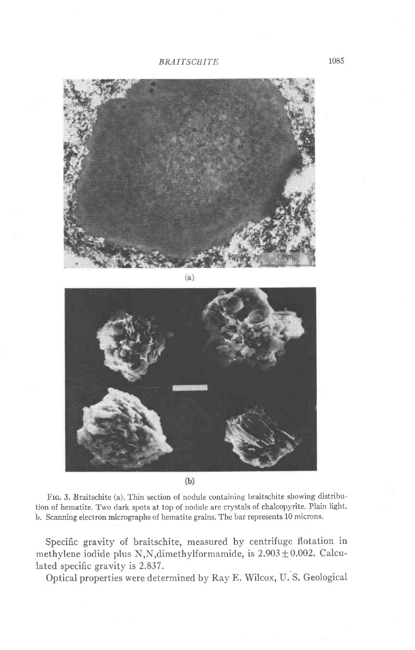



 $(b)$ 

Ftc. 3. Braitschite (a). Thin section of nodule containing braitschite showing distribution of hematite. Two dark spots at top of nodule are crystals of chalcopyrite. Plain light. b. Scanning electron micrographs of hematite grains. The bar represents 10 microns.

Specific gravity of braitschite, measured by centrifuge flotation in methylene iodide plus N,N,dimethylformamide, is  $2.903 \pm 0.002$ . Calculated specific gravity is 2.837.

Optical properties were determined by Ray E. Wilcox, U. S. Geological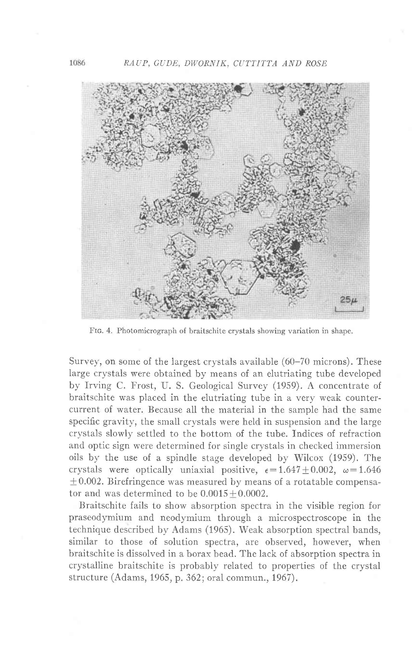

FIG. 4. Photomicrograph of braitschite crystals showing variation in shape.

Survey, on some of the largest crystals available (60-70 microns). These large crystals were obtained by means of an elutriating tube developed by Irving C. Frost, U. S. Geological Survey (1959). A concentrate of braitschite was piaced in the elutriating tube in a verv weak countercurrent of water. Because all the material in the sample had the same specific gravity, the small crystals were held in suspension and the large crystals slowly settled to the bottom of the tube. Indices of refraction and optic sign were determined for single crystals in checked immersion oils by the use of a spindle stage developed by Wilcox (1959). The crystals were optically uniaxial positive,  $\epsilon = 1.647 \pm 0.002$ ,  $\omega = 1.646$  $\pm$  0.002. Birefringence was measured by means of a rotatable compensator and was determined to be  $0.0015 \pm 0.0002$ .

Braitschite fails to show absorption spectra in the visible region for praseodymium and neodymium through a microspectroscope in the technique described by Adams (1965). Weak absorption spectral bands, similar to those of solution spectra, are observed, however, when braitschite is dissolved in a borax bead. The lack of absorption spectra in crystalline braitschite is probably related to properties of the crystal structure (Adams, 1965, p. 362; oral commun., 1967).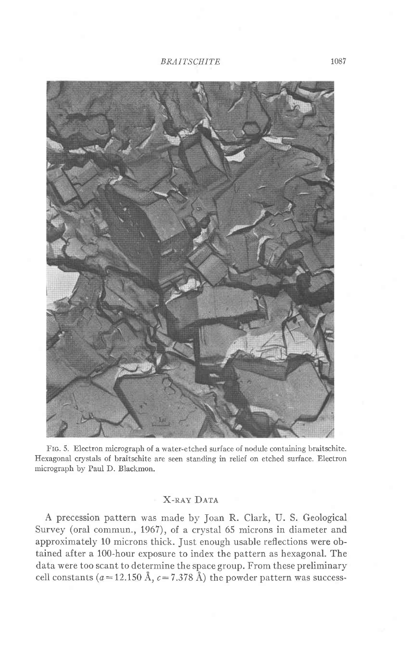

Frc. 5. Eiectron micrograph of a water-etched surface of nodule containing braitschite. Hexagonal crystals of braitschite are seen standing in relief on etched surface. Electron micrograph by PauI D. Blackmon.

## **X-RAY DATA**

A precession pattern was made by Joan R. Clark, U. S. Geological Survey (oral commun., 1967), of a crystal 65 microns in diameter and approximately 10 microns thick. Just enough usable reflections were obtained after a 100-hour exposure to index the pattern as hexagonal. The data were too scant to determine the space group. From these preliminary cell constants ( $a=12.150$  Å,  $c=7.378$  Å) the powder pattern was success-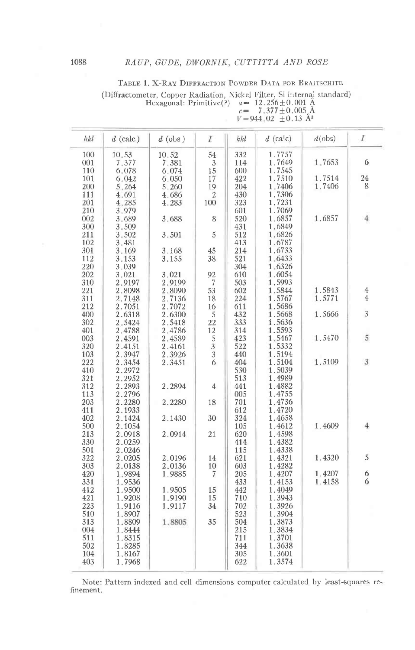| TABLE 1. X-RAY DIFFRACTION POWDER DATA FOR BRAITSCHITE                                                                      |                         |  |
|-----------------------------------------------------------------------------------------------------------------------------|-------------------------|--|
| (Diffractometer, Copper Radiation, Nickel Filter, Si internal standard)<br>Hexagonal: Primitive(?) $a = 12.256 \pm 0.001$ Å |                         |  |
|                                                                                                                             | $c = 7.377 \pm 0.005$ Å |  |

|                                   | . |  |  |  |  |  |  |
|-----------------------------------|---|--|--|--|--|--|--|
| $V = 944.02 \pm 0.13 \text{ Å}^3$ |   |  |  |  |  |  |  |
|                                   |   |  |  |  |  |  |  |

| hkl        | $d$ (calc)       | $d$ (obs) | I                                                         | hkl        | $d$ (calc) | $d$ (obs) | $\boldsymbol{I}$ |
|------------|------------------|-----------|-----------------------------------------------------------|------------|------------|-----------|------------------|
| 100        | 10.53            | 10.52     | 54                                                        | 332        | 1.7757     |           |                  |
| 001        | 7.377            | 7.381     | $\sqrt{3}$                                                | 114        | 1.7649     | 1,7653    | 6                |
| 110        | 6.078            | 6.074     | 15                                                        | 600        | 1.7545     |           |                  |
| 101        | 6.042            | 6.050     | 17                                                        | 422        | 1.7510     | 1.7514    | 24               |
| 200        | 5.264            | 5.260     | 19                                                        | 204        | 1.7406     | 1.7406    | 8                |
| 111        | 4.691            | 4.686     | 2                                                         | 430        | 1.7306     |           |                  |
| 201        | 4.285            | 4.283     | 100                                                       | 323        | 1,7231     |           |                  |
| 210        | 3.979            |           |                                                           | 601        | 1.7069     |           |                  |
| 002        | 3.689            | 3.688     | 8                                                         | 520        | 1.6857     | 1.6857    | 4                |
| 300        | 3.509            |           |                                                           | 431        | 1.6849     |           |                  |
| 211        | 3.502            | 3.501     | 5                                                         | 512        | 1.6826     |           |                  |
| 102        | 3.481            |           |                                                           | 413        | 1.6787     |           |                  |
| 301        | 3.169            | 3.168     | 45                                                        | 214        | 1.6733     |           |                  |
| 112        | 3.153            | 3.155     | 38                                                        | 521        | 1.6433     |           |                  |
| 220        | 3.039            |           |                                                           | 304        | 1.6326     |           |                  |
| 202        | 3.021            | 3.021     | 92                                                        | 610        | 1.6054     |           |                  |
| 310        | 2.9197           | 2.9199    | $\overline{7}$                                            | 503        | 1.5993     |           |                  |
| 221        | 2.8098           | 2.8090    | 53                                                        | 602        | 1.5844     | 1.5843    | $\overline{4}$   |
| 311        | 2.7148           | 2.7136    | 18                                                        | 224        | 1.5767     | 1.5771    | $\overline{4}$   |
| 212        | 2.7051           | 2.7072    | 16                                                        | 611        | 1.5686     |           |                  |
| 400        | 2.6318           | 2.6300    | 5                                                         | 432        | 1.5668     | 1.5666    | 3                |
| 302        | 2.5424           | 2.5418    | 22                                                        | 333        | 1.5636     |           |                  |
| 401        | 2.4788           | 2.4786    |                                                           | 314        | 1.5593     |           |                  |
| 003        | 2.4591           | 2.4589    |                                                           | 423        | 1.5467     | 1.5470    | 5                |
| 320        | 2.4151           | 2.4161    |                                                           | 522        | 1.5332     |           |                  |
| 103        | 2.3947           | 2.3926    |                                                           | 440        | 1.5194     |           |                  |
| 222        | 2.3454           | 2.3451    | $\begin{array}{c}\n 12 \\ 5 \\ 3 \\ 3 \\ 6\n \end{array}$ | 404        | 1.5104     | 1.5109    | 3                |
| 410        | 2.2972           |           |                                                           | 530        | 1.5039     |           |                  |
| 321        | 2.2952           |           |                                                           | 513        | 1.4989     |           |                  |
| 312        | 2.2893           | 2.2894    | 4                                                         | 441        | 1.4882     |           |                  |
|            |                  |           |                                                           |            | 1.4755     |           |                  |
| 113<br>203 | 2.2796<br>2.2280 |           |                                                           | 005<br>701 | 1.4736     |           |                  |
| 411        |                  | 2.2280    | 18                                                        |            | 1.4720     |           |                  |
|            | 2.1933           |           |                                                           | 612        |            |           |                  |
| 402        | 2.1424           | 2.1430    | 30                                                        | 324        | 1,4658     |           | 4                |
| 500        | 2.1054           |           |                                                           | 105        | 1.4612     | 1.4609    |                  |
| 213        | 2.0918           | 2.0914    | 21                                                        | 620        | 1.4598     |           |                  |
| 330        | 2.0259           |           |                                                           | 414        | 1.4382     |           |                  |
| 501        | 2.0246           |           |                                                           | 115        | 1.4338     |           |                  |
| 322        | 2.0205           | 2.0196    | 14                                                        | 621        | 1.4321     | 1.4320    | 5                |
| 303        | 2.0138           | 2.0136    | 10                                                        | 603        | 1.4282     |           |                  |
| 420        | 1.9894           | 1.9885    | 7                                                         | 205        | 1.4207     | 1,4207    | 6                |
| 331        | 1.9536           |           |                                                           | 433        | 1.4153     | 1.4158    | 6                |
| 412        | 1.9500           | 1.9505    | 15                                                        | 442        | 1.4049     |           |                  |
| 421        | 1.9208           | 1.9190    | 15                                                        | 710        | 1.3943     |           |                  |
| 223        | 1.9116           | 1,9117    | 34                                                        | 702        | 1.3926     |           |                  |
| 510        | 1.8907           |           |                                                           | 523        | 1,3904     |           |                  |
| 313        | 1.8809           | 1.8805    | 35                                                        | 504        | 1.3873     |           |                  |
| 004        | 1.8444           |           |                                                           | 215        | 1.3834     |           |                  |
| 511        | 1.8315           |           |                                                           | 711        | 1,3701     |           |                  |
| 502        | 1.8285           |           |                                                           | 344        | 1.3638     |           |                  |
| 104        | 1.8167           |           |                                                           | 305        | 1.3601     |           |                  |
| 403        | 1.7968           |           |                                                           | 622        | 1.3574     |           |                  |

Note: Pattern indexed and cell dimensions computer calculated by least-squares refinement.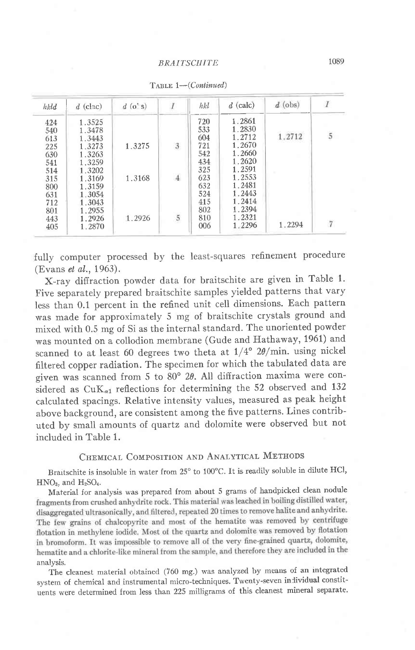| $\boldsymbol{I}$     | $d$ (obs) | $d$ (calc) | hkl |                             | $d$ (o's) | $d$ (clac) | hkld |
|----------------------|-----------|------------|-----|-----------------------------|-----------|------------|------|
|                      |           | 1.2861     | 720 |                             |           | 1.3525     | 424  |
|                      |           | 1.2830     | 533 |                             |           | 1.3478     | 540  |
| $\tilde{\mathbf{5}}$ | 1.2712    | 1.2712     | 604 |                             |           | 1.3443     | 613  |
|                      |           | 1.2670     | 721 | $\ensuremath{\mathfrak{Z}}$ | 1.3275    | 1.3273     | 225  |
|                      |           | 1.2660     | 542 |                             |           | 1.3263     | 630  |
|                      |           | 1.2620     | 434 |                             |           | 1.3259     | 541  |
|                      |           | 1.2591     | 325 |                             |           | 1.3202     | 514  |
|                      |           | 1.2553     | 623 | $\overline{4}$              | 1.3168    | 1.3169     | 315  |
|                      |           | 1.2481     | 632 |                             |           | 1.3159     | 800  |
|                      |           | 1.2443     | 524 |                             |           | 1.3054     | 631  |
|                      |           | 1.2414     | 415 |                             |           | 1.3043     | 712  |
|                      |           | 1.2394     | 802 |                             |           | 1.2955     | 801  |
|                      |           | 1.2321     | 810 | 5                           | 1.2926    | 1.2926     | 443  |
| $\overline{7}$       | 1.2294    | 1.2296     | 006 |                             |           | 1.2870     | 405  |

TABLE 1--(Continued)

fully computer processed by the least-squares refinement procedure (Evans et al., 1963).

X-ray diffraction powder data for braitschite are given in Table 1' Five separately prepared braitschite samples yielded patterns that vary Iess than 0.1 percent in the refined unit cell dimensions. Each pattern was made for approximately 5 mg of braitschite crystals ground and mixed with 0.5 mg of Si as the internal standard. The unoriented powder was mounted on a collodion membrane (Gude and Hathaway, 1961) and scanned to at least 60 degrees two theta at  $1/4^{\circ}$  2 $\theta$ /min. using nickel filtered copper radiation. The specimen for which the tabulated data are given was scanned from 5 to 80 $\degree$  20. All diffraction maxima were considered as  $CuK_{\alpha1}$  reflections for determining the 52 observed and 132 calculated spacings. Relative intensity values, measured as peak height above background, are consistent among the five patterns. Lines contributed by small amounts of quartz and dolomite were observed but not included in Table 1.

## CHEMICAL COMPOSITION AND ANALYTICAL METHODS

Braitschite is insoluble in water from 25° to 100°C. It is readily soluble in dilute HCl,  $HNO<sub>3</sub>$ , and  $H<sub>2</sub>SO<sub>4</sub>$ .

Material for analysis was prepared from about 5 grams of handpicked clean nodule fragments from crushed anhydrite rock. This material was leached in boiling distilled water, disaggregated ultrasonically, and filtered, repeated 20 times to remove halite and anhydrite. The few grains of chalcopyrite and most of the hematite was removed by centrifuge flotation in methylene iodide. Most of the quartz and dolomite was removed by flotation in bromoform. It was impossible to remove all of the very fine-grained quartz, dolomite, hematite and a chlorite-like mineral from the sample, and therefore they are included in the analysis.

The cleanest material obtained (760 mg.) was analyzed by means of an integrated system of chemical and instrumental micro-techniques. Twenty-seven inlividual constituents were determined from less than 225 milligrams of this cleanest mineral separate.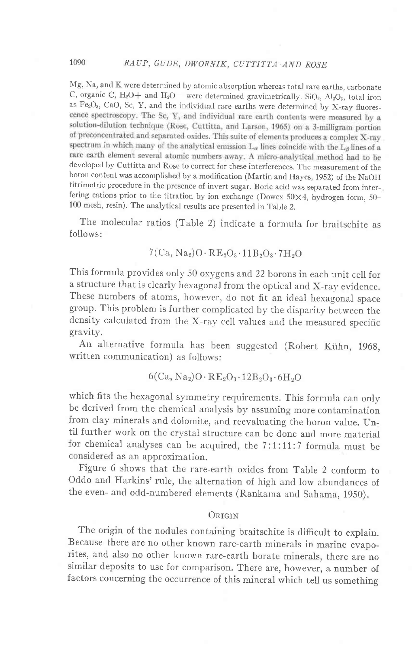Mg, Na, and K were determined by atomic absorption whereas total rare earths, carbonate C, organic C, H<sub>2</sub>O+ and H<sub>2</sub>O - were determined gravimetrically. SiO<sub>2</sub>, Al<sub>2</sub>O<sub>3</sub>, total iron as Fe<sub>2</sub>O<sub>3</sub>, CaO, Sc, Y, and the individual rare earths were determined by X-ray fluores-<br>cence spectroscopy. The Sc, Y, and individual rare earth contents were measured by a solution-dilution technique (Rose, Cuttitta, and Larson, 1965) on a 3-milligram portion of preconcentrated and separated oxides. This suite of elements produces a complex X-ray spectrum in which many of the analytical emission  $L_{\alpha}$  lines coincide with the  $L_{\beta}$  lines of a rare earth element several atomic numbers away. A micro-analytical method had to be developed by Cutlitta and Rose to correct for these interferences. The measurement of the boron content was accomplished by a modification (Martin and Hayes, 1952) of the NaOH titrimetric procedure in the presence of invert sugar. Boric acid was separated from interfering cations prior to the titration by ion exchange (Dowex  $50\times4$ , hydrogen form,  $50-$ 100 mesh, resin). The analytical results are presented in Table 2.

The molecular ratios (Table 2) indicate a formula for braitschite as follows:

$$
7(Ca, Na2)O·RE2O3·11B2O3·7H2O
$$

This formula provides only 50 oxygens and, 22 borons in each unit cell for a structure that is clearly hexagonal from the optical and X-ray evidence. These numbers of atoms, however, do not fit an ideal hexagonal space group. This problem is further complicated by the disparity between the density calculated from the X-rav cell values and the measured specific gravity.

An alternative formula has been suggested (Robert Kiihn, 196g, written communication) as follows:

$$
\rm 6(Ca,Na_2)O\cdot RE_2O_3\cdot 12B_2O_3\cdot 6H_2O
$$

which fits the hexagonal symmetry requirements. This formula can only be derived from the chemical analysis by assuming more contamination from clay minerals and dolomite, and reevaluating the boron value. Until further work on the crystal structure can be done and more material for chemical analyses can be acquired, the 7:1:11:7 formula must be considered as an approximation.

Figure 6 shows that the rare-earth oxides from Table 2 conform to oddo and Harkins' rule, the alternation of high and low abundances of the even- and odd-numbered elements (Rankama and Sahama, 1g50).

## ORIGIN

The origin of the nodules containing braitschite is difficult to explain. Because there are no other known rare-earth minerals in marine evaporites, and also no other known rare-earth borate minerals, there are no similar deposits to use for comparison. There are, however, a number of factors concerning the occurrence of this mineral which tell us somethins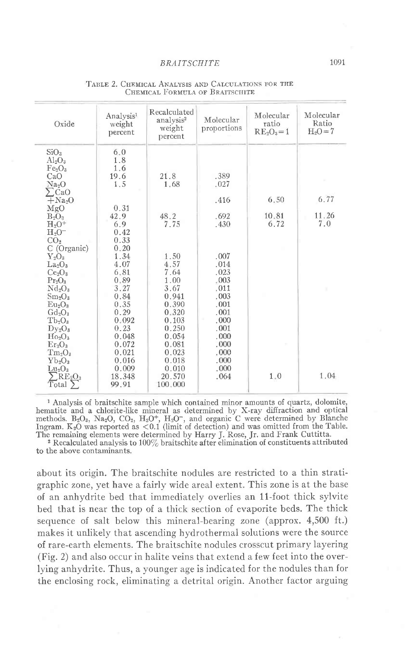| Oxide                                                                                                                        | Analysis <sup>1</sup><br>weight<br>percent | Recalculated<br>analysis <sup>2</sup><br>weight<br>percent | Molecular<br>proportions             | Molecular<br>ratio<br>$RE2O3=1$ | Molecular<br>Ratio<br>$H_2O = 7$ |
|------------------------------------------------------------------------------------------------------------------------------|--------------------------------------------|------------------------------------------------------------|--------------------------------------|---------------------------------|----------------------------------|
| SiO <sub>3</sub><br>$Al_2O_3$<br>Fe <sub>2</sub> O <sub>3</sub><br>CaO<br>Na <sub>9</sub> O<br>$\sum$ CaO                    | 6.0<br>1.8<br>1.6<br>19.6<br>1.5           | 21.8<br>1.68                                               | .389<br>.027                         |                                 |                                  |
| $+Na2O$<br>MgO<br>$B_2O_3$<br>$H2O+$<br>$H2O-$                                                                               | 0.31<br>42.9<br>6.9<br>0.42                | 48.2<br>7.75                                               | .416<br>.692<br>.430                 | 6.50<br>10.81<br>6.72           | 6.77<br>11.26<br>7.0             |
| CO <sub>2</sub><br>C (Organic)<br>${\rm Y_2O_3}$<br>La <sub>2</sub> O <sub>3</sub>                                           | 0.33<br>0.20<br>1.34<br>4.07               | 1.50<br>4.57                                               | .007<br>.014                         |                                 |                                  |
| Ce <sub>2</sub> O <sub>3</sub><br>$Pr_2O_3$<br>$Nd_2O_3$<br>Sm <sub>2</sub> O <sub>3</sub><br>Eu <sub>2</sub> O <sub>3</sub> | 6.81<br>0.89<br>3.27<br>0.84<br>0.35       | 7.64<br>1.00<br>3.67<br>0.941<br>0.390                     | .023<br>.003<br>.011<br>.003<br>.001 |                                 | ٠                                |
| $Gd_2O_3$<br>Tb <sub>0</sub><br>$\mathrm{Dy_{2}O_{3}}$<br>$Ho_2O_3$                                                          | 0.29<br>0.092<br>0.23<br>0.048             | 0.320<br>0.103<br>0.250<br>0.054                           | .001<br>.000<br>.001<br>.000         |                                 |                                  |
| $E_{\rm I}$ <sup>2</sup> O <sub>3</sub><br>$Tm_2O_3$<br>$Yb_2O_3$<br>$Lu_2O_3$<br>$RE_2O_3$                                  | 0.072<br>0.021<br>0.016<br>0.009<br>18.348 | 0.081<br>0.023<br>0.018<br>0.010<br>20.570                 | .000<br>.000<br>.000<br>.000<br>.064 | 1.0                             | 1.04                             |
| $Total \sum$                                                                                                                 | 99.91                                      | 100.000                                                    |                                      |                                 |                                  |

#### TABLE 2. CHEMICAL ANALYSIS AND CALCULATIONS FOR THE CHEMICAL FORMULA OF BRAITSCHITE

<sup>1</sup> Analysis of braitschite sample which contained minor amounts of quartz, dolomite, hematite and a chlorite-like mineral as determined by X-ray diffraction and optical<br>methods. B<sub>2</sub>O<sub>3</sub>, Na<sub>2</sub>O, CO<sub>2</sub>, H<sub>2</sub>O<sup>+</sup>, H<sub>2</sub>O<sup>-</sup>, and organic C were determined by Blanche<br>Ingram. K<sub>2</sub>O was reported as <0.1 (limit

The remaining elements were determined by Harry J. Rose, Jr. and Frank Cuttitta.<br><sup>2</sup> Recalculated analysis to 100% braitschite after elimination of constituents attribute to the above contaminants.

about its origin. The braitschite nodules are restricted to a thin stratigraphic zone, yet have a fairly wide areal extent. This zone is at the base of an anhydrite bed that immediately overlies an 11-foot thick sylvite bed that is near the top of a thick section of evaporite beds. The thick sequence of salt below this mineral-bearing zone (approx. 4,500 ft.) makes it unlikely that ascending hydrothermal solutions were the source of rare-earth elements. The braitschite nodules crosscut primary Iayering (Fig. 2) and also occur in halite veins that extend a few feet into the overlying anhydrite. Thus, a younger age is indicated for the nodules than for the enclosing rock, eliminating a detrital origin. Another factor arguing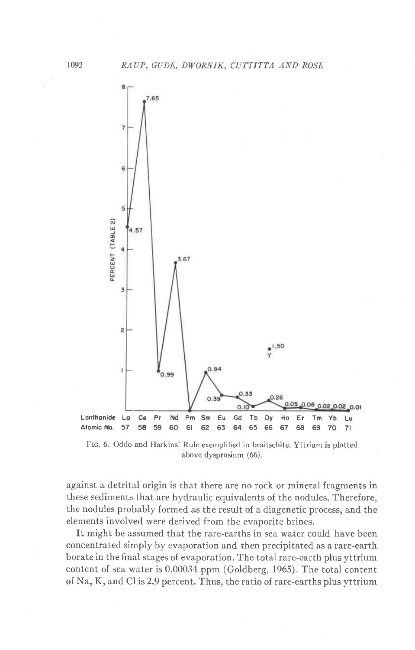

FIG. 6. Oddo and Harkins' Rule exemplified in braitschite. Yttrium is plotted above dysprosium (66).

against a detrital origin is that there are no rock or mineral fragments in these sediments that are hydraulic equivalents of the nodules. Therefore, the nodules probably formed as the result of a diagenetic process, and the elements involved were derived from the evaporite brines.

It might be assumed that the rare-earths in sea water could have been concentrated simply by evaporation and then precipitated as a rare-earth borate in the final stages of evaporation. The total rare-earth plus yttrium content of sea water is 0.00034 ppm (Goldberg, 1965). The total content of Na, K, and Cl is 2.9 percent. Thus, the ratio of rare-earths plus yttrium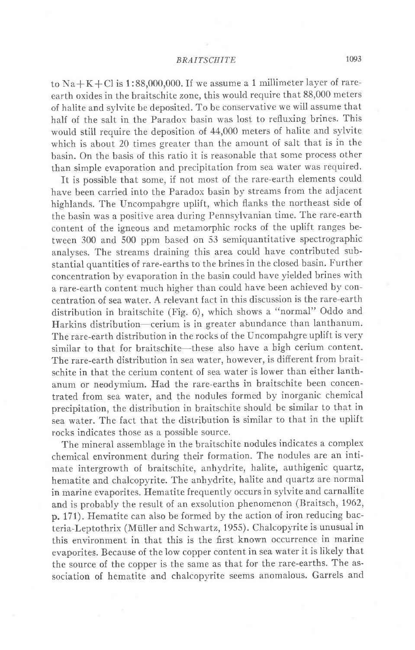to  $Na + K + Cl$  is 1:88,000,000. If we assume a 1 millimeter layer of rareearth oxides in the braitschite zone, this would require that 88,000 meters of halite and sylvite be deposited. To be conservative we will assume that half of the salt in the Paradox basin was lost to refluxing brines. This would still require the deposition of 44,000 meters of halite and sylvite which is about 20 times greater than the amount of salt that is in the basin. On the basis of this ratio it is reasonable that some process other than simple evaporation and precipitation from sea water was required.

It is possible that some, if not most of the rare-earth elements could have been carried into the Paradox basin by streams from the adjacent highlands. The Uncompahgre uplift, which flanks the northeast side of the basin was a positive area during Pennsylvanian time. The rare-earth content of the igneous and metamorphic rocks of the uplift ranges between 300 and 500 ppm based on 53 semiquantitative spectrographic analyses. The streams draining this area could have contributed substantial quantities of rare-earths to the brines in the closed basin. Further concentration by evaporation in the basin could have yielded brines with a rare-earth content much higher than could have been achieved by concentration of sea water. A relevant fact in this discussion is the rare-earth distribution in braitschite (Fig.6), which shows a "normal" Oddo and Harkins distribution—cerium is in greater abundance than lanthanum. The rare-earth distribution in the rocks of the Uncompahgre uplift is very similar to that for braitschite-these also have a high cerium content. The rare-earth distribution in sea water, however, is different from braitschite in that the cerium content of sea water is lower than either lanthanum or neodymium. Had the rare-earths in braitschite been concentrated from sea water, and the nodules formed by inorganic chemical precipitation, the distribution in braitschite should be similar to that in sea water. The fact that the distribution is similar to that in the uplift rocks indicates those as a possible source.

The mineral assemblage in the braitschite nodules indicates a complex chemical environment during their formation. The nodules are an intimate intergrowth of braitschite, anhydrite, halite, authigenic quartz, hematite and chalcopyrite. The anhydrite, halite and quartz are normal in marine evaporites. Ilematite frequently occurs in sylvite and carnallite and is probably the result of an exsolution phenomenon (Braitsch,1962, p. 171). Hematite can also be formed by the action of iron reducing bacteria-Leptothrix (Müller and Schwartz, 1955). Chalcopyrite is unusual in this environment in that this is the first known occurrence in marine evaporites. Because of the low copper content in sea water it is likely that the source of the copper is the same as that for the rare-earths. The association of hematite and chalcopyrite seems anomalous. Garrels and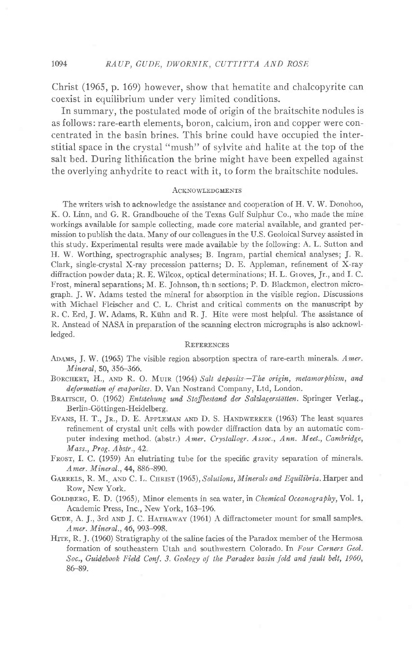Christ (1965, p. 169) however, show that hematite and chalcopyrite can coexist in equilibrium under very limited conditions.

In summary, the postulated mode of origin of the braitschite nodules is as follows: rare-earth elements, boron, calcium, iron and copper were concentrated in the basin brines. This brine could have occupied the interstitial space in the crystal "mush" of sylvite and halite at the top of the salt bed. During lithification the brine might have been expelled against the overlying anhydrite to react with it, to form the braitschite nodules.

### **ACKNOWLEDGMENTS**

The writers wish to acknowledge the assistance and cooperation o{ H. V. W. Donohoo, K. O. Linn, and G. R. Grandbouche of the Texas Gulf Sulphur Co., who made the mine workings available for sample collecting, made core material available, and granted permission to publish the data. Many of our colleagues in the U.S. Geoloical Survey assisted in this study. Experimental results were made available by the following: A. L. Sutton and H. W. Worthing, spectrographic analyses; B. Ingram, partial chemical analyses; J. R. Clark, single-crystal X-ray precession patterns; D. E. Appleman, refinement of X-ray diffraction powder data; R. E. Wilcox, optical determinations; H. L. Groves, Jr., and I. C. Frost, mineral separations; M. E. Johnson, thin sections; P. D. Blackmon, electron micrograph. J. W. Adams tested the mineral for absorption in the visible region. Discussions with Michael Fleischer and C. L. Christ and critical comments on the manuscript by R. C. Erd, J. W. Adams, R. Kiihn and R. J. Hite were most helpful. The assistance of R. Anstead of NASA in preparation of the scanning electron micrographs is also acknowlledged.

#### **REFERENCES**

- Aoans, J. W. (1965) The visible region absorption spectra of rare-earth minerals. Amer. Mineral, 50, 356-366.
- BORCHERT, H., AND R. O. MUIR (1964) Salt deposits-The origin, metamorphism, and deformation of evaporites. D. Van Nostrand Company, Ltd, London.
- BRAITSCH, O. (1962) Entstehung und Stoffbestand der Salzlagerstätten. Springer Verlag., Berlin-Göttingen-Heidelberg.
- EVANS, H. T., Jr., D. E. Appleman AND D. S. HANDWERKER (1963) The least squares refinement of crystal unit cells with powder diffraction data by an automatic computer indexing method. (abstr.) Amer. Crystallogr. Assoc., Ann. Meet., Cambridge,  $Mass., Prog. Abstr., 42.$
- FROST, I. C. (1959) An elutriating tube for the specific gravity separation of minerals. Amer. Mineral., 44, 886-890.
- GARRELS, R. M., AND C. L. CHRIST (1965), Solutions, Minerals and Equilibria. Harper and Row, New York.
- GOLDBERG, E. D. (1965), Minor elements in sea water, in Chemical Oceanography, Vol. 1, Academic Press, Inc., New York, 163-196.
- GUDE, A. J., 3rd AND J. C. HATHAWAY (1961) A diffractometer mount for small samples. Amer. Mineral., 46, 993-998.
- Hrre, R. J. (1960) Stratigraphy of the saline facies of the Paradox member of the Hermosa formation of southeastern Utah and southwestern Colorado. In Four Corners Geol'. Soc., Guidebook Field Conf. 3. Geology of the Paradox basin fold and fault belt, 1960, 86-89.